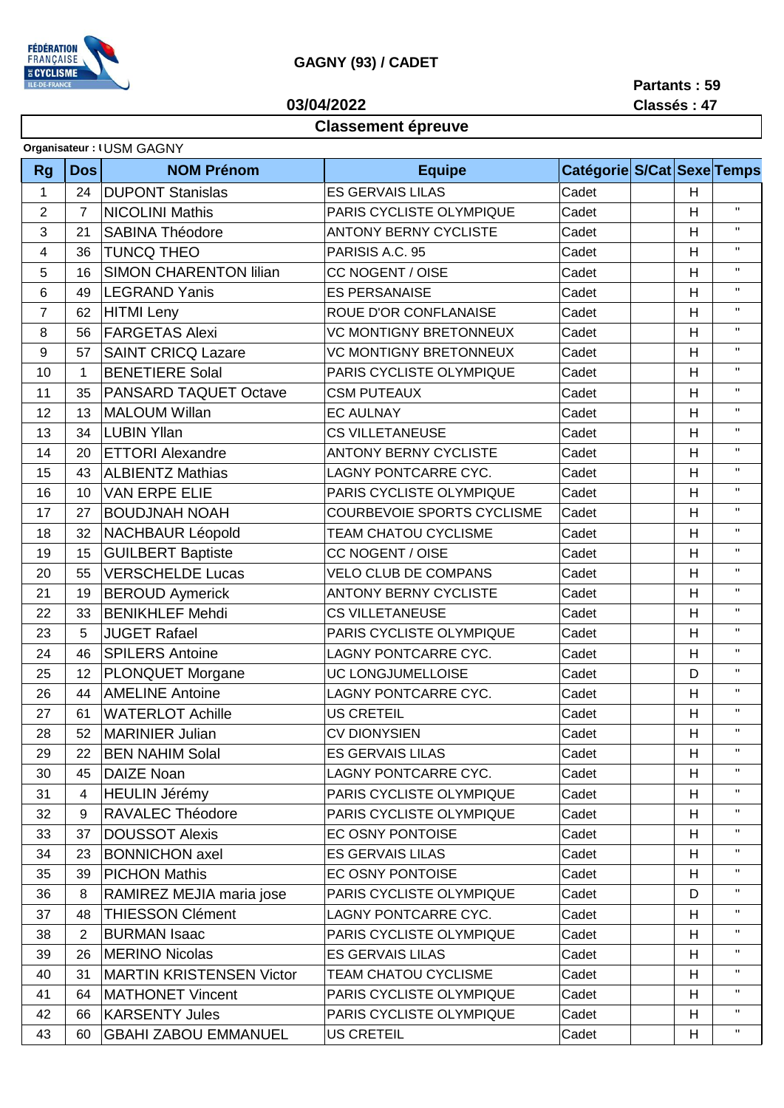

## **GAGNY (93) / CADET**

**03/04/2022**

**Partants : 59 Classés : 47**

## **Classement épreuve**

|  |  | Organisateur: I USM GAGNY |  |
|--|--|---------------------------|--|
|--|--|---------------------------|--|

| <b>Rg</b>      | <b>Dos</b>     | <b>NOM Prénom</b>               | <b>Equipe</b>                     | Catégorie S/Cat Sexe Temps |                |              |
|----------------|----------------|---------------------------------|-----------------------------------|----------------------------|----------------|--------------|
| 1              | 24             | <b>DUPONT Stanislas</b>         | <b>ES GERVAIS LILAS</b>           | Cadet                      | H              |              |
| $\overline{2}$ | $\overline{7}$ | <b>NICOLINI Mathis</b>          | PARIS CYCLISTE OLYMPIQUE          | Cadet                      | H              | $\mathbf H$  |
| 3              | 21             | <b>SABINA Théodore</b>          | <b>ANTONY BERNY CYCLISTE</b>      | Cadet                      | H              | $\mathbf{H}$ |
| 4              | 36             | <b>TUNCQ THEO</b>               | PARISIS A.C. 95                   | Cadet                      | H              | $\mathbf H$  |
| 5              | 16             | <b>SIMON CHARENTON lilian</b>   | CC NOGENT / OISE                  | Cadet                      | H              | $\mathbf H$  |
| 6              | 49             | <b>LEGRAND Yanis</b>            | <b>ES PERSANAISE</b>              | Cadet                      | H              | Η.           |
| $\overline{7}$ | 62             | <b>HITMI</b> Leny               | ROUE D'OR CONFLANAISE             | Cadet                      | H              | $\mathbf{H}$ |
| 8              | 56             | <b>FARGETAS Alexi</b>           | <b>VC MONTIGNY BRETONNEUX</b>     | Cadet                      | H              | Η.           |
| 9              | 57             | <b>SAINT CRICQ Lazare</b>       | <b>VC MONTIGNY BRETONNEUX</b>     | Cadet                      | H              | Η.           |
| 10             | 1              | <b>BENETIERE Solal</b>          | PARIS CYCLISTE OLYMPIQUE          | Cadet                      | H              | $\mathbf{H}$ |
| 11             | 35             | PANSARD TAQUET Octave           | <b>CSM PUTEAUX</b>                | Cadet                      | H              | $\mathbf H$  |
| 12             | 13             | <b>MALOUM Willan</b>            | <b>EC AULNAY</b>                  | Cadet                      | H              | $\mathbf{H}$ |
| 13             | 34             | <b>LUBIN Yllan</b>              | <b>CS VILLETANEUSE</b>            | Cadet                      | H              | Η.           |
| 14             | 20             | <b>ETTORI Alexandre</b>         | <b>ANTONY BERNY CYCLISTE</b>      | Cadet                      | H              | $\mathbf{H}$ |
| 15             | 43             | <b>ALBIENTZ Mathias</b>         | LAGNY PONTCARRE CYC.              | Cadet                      | $\overline{H}$ | $\mathbf H$  |
| 16             | 10             | <b>VAN ERPE ELIE</b>            | PARIS CYCLISTE OLYMPIQUE          | Cadet                      | H              | $\mathbf H$  |
| 17             | 27             | <b>BOUDJNAH NOAH</b>            | <b>COURBEVOIE SPORTS CYCLISME</b> | Cadet                      | H              | $\mathbf{H}$ |
| 18             | 32             | <b>NACHBAUR Léopold</b>         | TEAM CHATOU CYCLISME              | Cadet                      | H              | $\mathbf H$  |
| 19             | 15             | <b>GUILBERT Baptiste</b>        | CC NOGENT / OISE                  | Cadet                      | H              | $\mathbf{H}$ |
| 20             | 55             | <b>VERSCHELDE Lucas</b>         | <b>VELO CLUB DE COMPANS</b>       | Cadet                      | H              | H.           |
| 21             | 19             | <b>BEROUD Aymerick</b>          | <b>ANTONY BERNY CYCLISTE</b>      | Cadet                      | H              | Η.           |
| 22             | 33             | <b>BENIKHLEF Mehdi</b>          | <b>CS VILLETANEUSE</b>            | Cadet                      | H              | $\mathbf H$  |
| 23             | 5              | <b>JUGET Rafael</b>             | PARIS CYCLISTE OLYMPIQUE          | Cadet                      | H              | Η.           |
| 24             | 46             | <b>SPILERS Antoine</b>          | LAGNY PONTCARRE CYC.              | Cadet                      | H              | Η.           |
| 25             | 12             | <b>PLONQUET Morgane</b>         | UC LONGJUMELLOISE                 | Cadet                      | D              | $\mathbf{H}$ |
| 26             | 44             | <b>AMELINE Antoine</b>          | LAGNY PONTCARRE CYC.              | Cadet                      | H              | $\mathbf H$  |
| 27             | 61             | <b>WATERLOT Achille</b>         | <b>US CRETEIL</b>                 | Cadet                      | H              | $\mathbf{H}$ |
| 28             | 52             | <b>MARINIER Julian</b>          | <b>CV DIONYSIEN</b>               | Cadet                      | H              | $\mathbf H$  |
| 29             | 22             | <b>BEN NAHIM Solal</b>          | <b>ES GERVAIS LILAS</b>           | Cadet                      | H              | Η.           |
| 30             | 45             | <b>DAIZE Noan</b>               | LAGNY PONTCARRE CYC.              | Cadet                      | H              | H.           |
| 31             | 4              | <b>HEULIN Jérémy</b>            | PARIS CYCLISTE OLYMPIQUE          | Cadet                      | H              | п.           |
| 32             | 9              | RAVALEC Théodore                | PARIS CYCLISTE OLYMPIQUE          | Cadet                      | H              | п.           |
| 33             | 37             | <b>DOUSSOT Alexis</b>           | EC OSNY PONTOISE                  | Cadet                      | H              | п.           |
| 34             | 23             | <b>BONNICHON axel</b>           | <b>ES GERVAIS LILAS</b>           | Cadet                      | H              | п.           |
| 35             | 39             | <b>PICHON Mathis</b>            | EC OSNY PONTOISE                  | Cadet                      | H              | Η.           |
| 36             | 8              | RAMIREZ MEJIA maria jose        | PARIS CYCLISTE OLYMPIQUE          | Cadet                      | D              | п.           |
| 37             | 48             | <b>THIESSON Clément</b>         | LAGNY PONTCARRE CYC.              | Cadet                      | H              | Η.           |
| 38             | 2              | <b>BURMAN Isaac</b>             | PARIS CYCLISTE OLYMPIQUE          | Cadet                      | H              | п.           |
| 39             | 26             | <b>MERINO Nicolas</b>           | <b>ES GERVAIS LILAS</b>           | Cadet                      | H              | $\mathbf{H}$ |
| 40             | 31             | <b>MARTIN KRISTENSEN Victor</b> | <b>TEAM CHATOU CYCLISME</b>       | Cadet                      | H              | п.           |
| 41             | 64             | <b>MATHONET Vincent</b>         | PARIS CYCLISTE OLYMPIQUE          | Cadet                      | H              | п.           |
| 42             | 66             | <b>KARSENTY Jules</b>           | PARIS CYCLISTE OLYMPIQUE          | Cadet                      | H              | Η.           |
| 43             | 60             | <b>GBAHI ZABOU EMMANUEL</b>     | <b>US CRETEIL</b>                 | Cadet                      | H              | н.           |